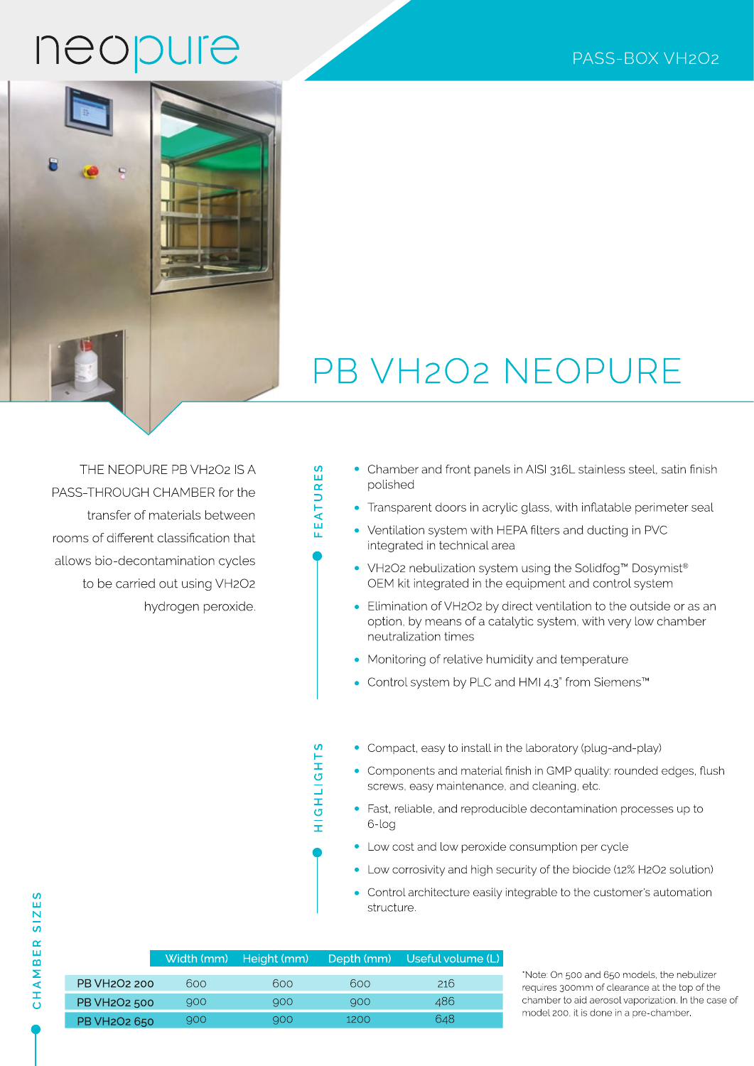## neopure



## PB VH2O2 NEOPURE

THE NEOPURE PB VH2O2 IS A PASS-THROUGH CHAMBER for the transfer of materials between rooms of different classification that allows bio-decontamination cycles to be carried out using VH2O2 hydrogen peroxide.

#### Chamber and front panels in AISI 316L stainless steel, satin finish polished

- Transparent doors in acrylic glass, with inflatable perimeter seal
- Ventilation system with HEPA filters and ducting in PVC integrated in technical area
- VH2O2 nebulization system using the Solidfog<sup>™</sup> Dosymist<sup>®</sup> OEM kit integrated in the equipment and control system
- Elimination of VH2O2 by direct ventilation to the outside or as an option, by means of a catalytic system, with very low chamber neutralization times
- Monitoring of relative humidity and temperature
- Control system by PLC and HMI 4.3" from Siemens™

HIGHLIGHTS

**FEATURES** 

- Compact, easy to install in the laboratory (plug-and-play)
- Components and material finish in GMP quality: rounded edges, flush screws, easy maintenance, and cleaning, etc.
- · Fast, reliable, and reproducible decontamination processes up to 6-log
- Low cost and low peroxide consumption per cycle
- Low corrosivity and high security of the biocide (12% H2O2 solution)
- $\bullet$ Control architecture easily integrable to the customer's automation structure.

|                                           |     | Width (mm) Height (mm) |      | Depth (mm) Useful volume (L) |
|-------------------------------------------|-----|------------------------|------|------------------------------|
| <b>PB VH<sub>2</sub>O<sub>2</sub> 200</b> | 600 | 600                    | 600  | 216                          |
|                                           |     |                        |      |                              |
| PB VH <sub>2</sub> O <sub>2</sub> 500     | 900 | 900                    | 900  | 486                          |
| PB VH <sub>2</sub> O <sub>2</sub> 650     | 900 | 900                    | 1200 | 648                          |

\*Note: On 500 and 650 models, the nebulizer requires 300mm of clearance at the top of the chamber to aid aerosol vaporization. In the case of model 200, it is done in a pre-chamber.